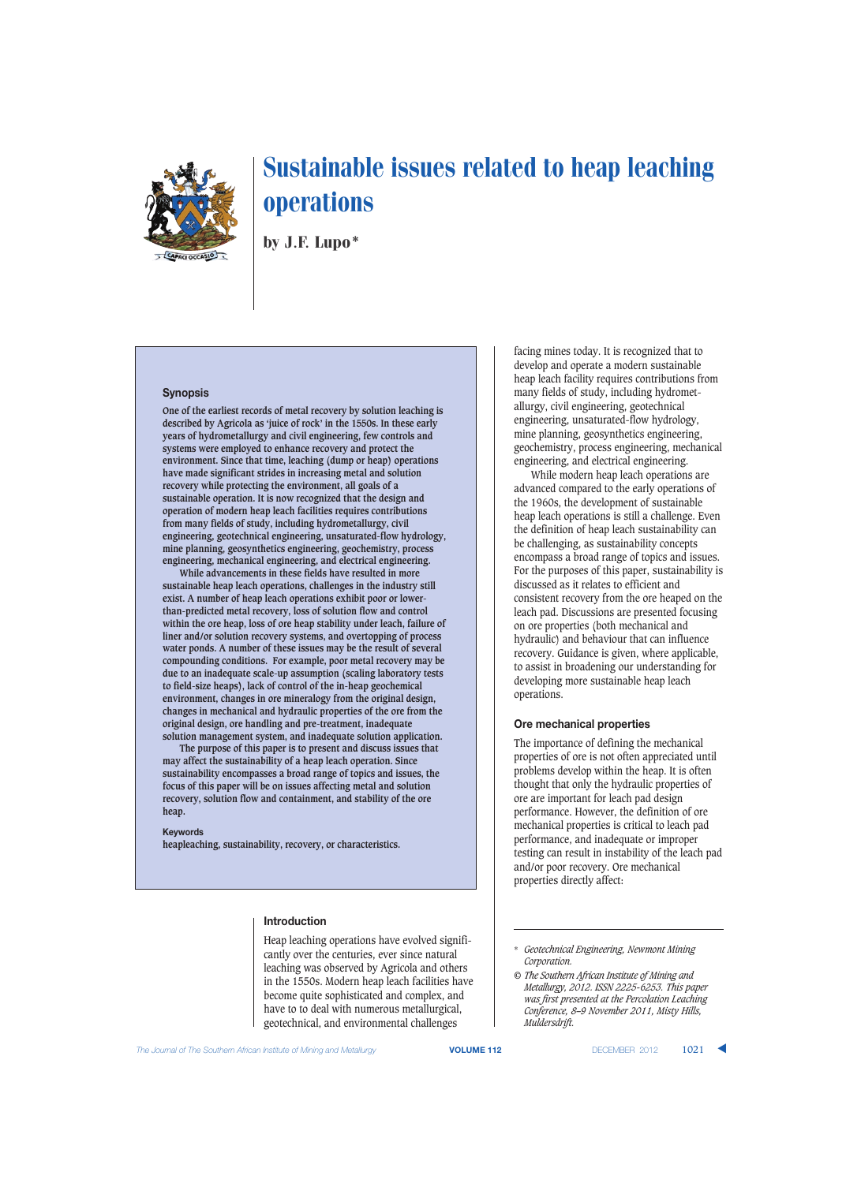

by J.F. Lupo\*

#### **Synopsis**

**One of the earliest records of metal recovery by solution leaching is described by Agricola as 'juice of rock' in the 1550s. In these early years of hydrometallurgy and civil engineering, few controls and systems were employed to enhance recovery and protect the environment. Since that time, leaching (dump or heap) operations have made significant strides in increasing metal and solution recovery while protecting the environment, all goals of a sustainable operation. It is now recognized that the design and operation of modern heap leach facilities requires contributions from many fields of study, including hydrometallurgy, civil engineering, geotechnical engineering, unsaturated-flow hydrology, mine planning, geosynthetics engineering, geochemistry, process engineering, mechanical engineering, and electrical engineering.** 

**While advancements in these fields have resulted in more sustainable heap leach operations, challenges in the industry still exist. A number of heap leach operations exhibit poor or lowerthan-predicted metal recovery, loss of solution flow and control within the ore heap, loss of ore heap stability under leach, failure of liner and/or solution recovery systems, and overtopping of process water ponds. A number of these issues may be the result of several compounding conditions. For example, poor metal recovery may be due to an inadequate scale-up assumption (scaling laboratory tests to field-size heaps), lack of control of the in-heap geochemical environment, changes in ore mineralogy from the original design, changes in mechanical and hydraulic properties of the ore from the original design, ore handling and pre-treatment, inadequate solution management system, and inadequate solution application.** 

**The purpose of this paper is to present and discuss issues that may affect the sustainability of a heap leach operation. Since sustainability encompasses a broad range of topics and issues, the focus of this paper will be on issues affecting metal and solution recovery, solution flow and containment, and stability of the ore heap.**

#### **Keywords**

**heapleaching, sustainability, recovery, or characteristics.**

### **Introduction**

Heap leaching operations have evolved significantly over the centuries, ever since natural leaching was observed by Agricola and others in the 1550s. Modern heap leach facilities have become quite sophisticated and complex, and have to to deal with numerous metallurgical, geotechnical, and environmental challenges

facing mines today. It is recognized that to develop and operate a modern sustainable heap leach facility requires contributions from many fields of study, including hydrometallurgy, civil engineering, geotechnical engineering, unsaturated-flow hydrology, mine planning, geosynthetics engineering, geochemistry, process engineering, mechanical engineering, and electrical engineering.

While modern heap leach operations are advanced compared to the early operations of the 1960s, the development of sustainable heap leach operations is still a challenge. Even the definition of heap leach sustainability can be challenging, as sustainability concepts encompass a broad range of topics and issues. For the purposes of this paper, sustainability is discussed as it relates to efficient and consistent recovery from the ore heaped on the leach pad. Discussions are presented focusing on ore properties (both mechanical and hydraulic) and behaviour that can influence recovery. Guidance is given, where applicable, to assist in broadening our understanding for developing more sustainable heap leach operations.

### **Ore mechanical properties**

The importance of defining the mechanical properties of ore is not often appreciated until problems develop within the heap. It is often thought that only the hydraulic properties of ore are important for leach pad design performance. However, the definition of ore mechanical properties is critical to leach pad performance, and inadequate or improper testing can result in instability of the leach pad and/or poor recovery. Ore mechanical properties directly affect:

*Corporation.*

\* *Geotechnical Engineering, Newmont Mining*

*Metallurgy, 2012. ISSN 2225-6253. This paper was first presented at the Percolation Leaching Conference, 8–9 November 2011, Misty Hills, Muldersdrift.*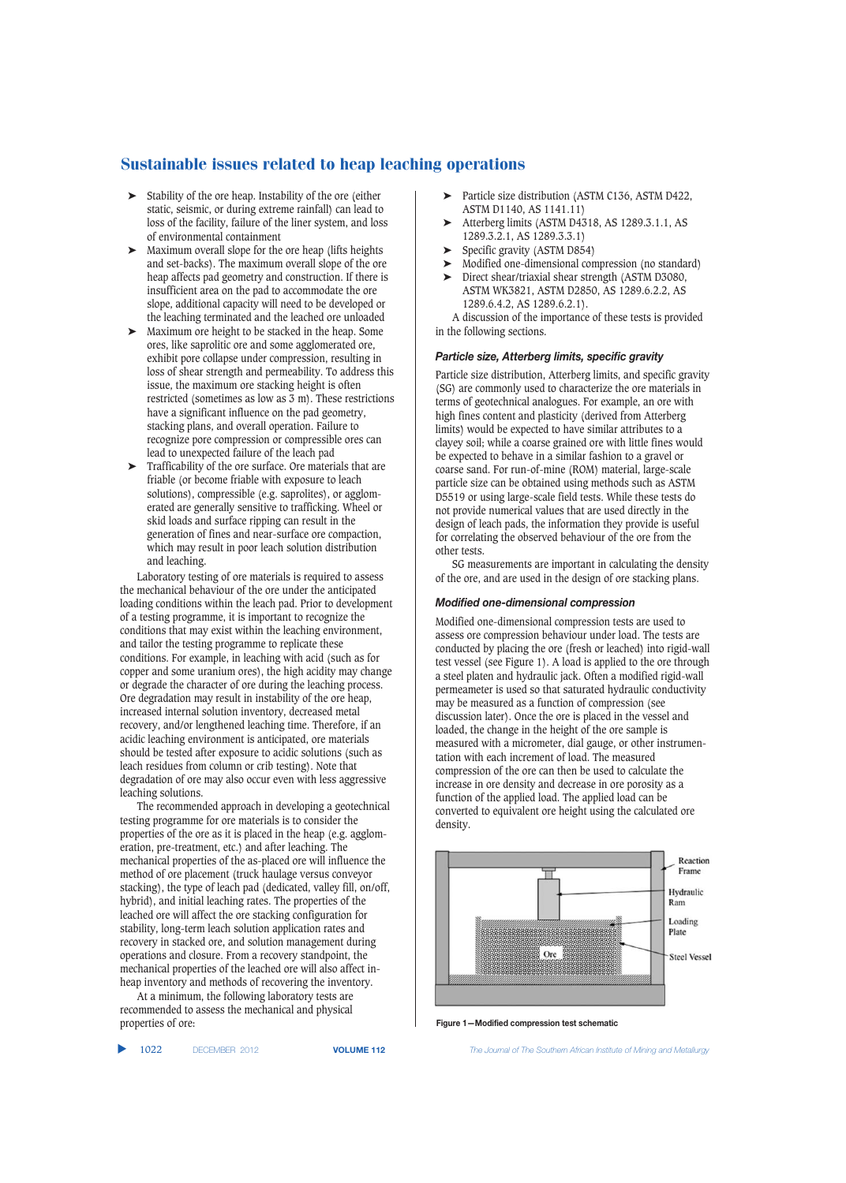- ➤ Stability of the ore heap. Instability of the ore (either static, seismic, or during extreme rainfall) can lead to loss of the facility, failure of the liner system, and loss of environmental containment
- ➤ Maximum overall slope for the ore heap (lifts heights and set-backs). The maximum overall slope of the ore heap affects pad geometry and construction. If there is insufficient area on the pad to accommodate the ore slope, additional capacity will need to be developed or the leaching terminated and the leached ore unloaded
- Maximum ore height to be stacked in the heap. Some ores, like saprolitic ore and some agglomerated ore, exhibit pore collapse under compression, resulting in loss of shear strength and permeability. To address this issue, the maximum ore stacking height is often restricted (sometimes as low as  $\overline{3}$  m). These restrictions have a significant influence on the pad geometry, stacking plans, and overall operation. Failure to recognize pore compression or compressible ores can lead to unexpected failure of the leach pad
- ➤ Trafficability of the ore surface. Ore materials that are friable (or become friable with exposure to leach solutions), compressible (e.g. saprolites), or agglomerated are generally sensitive to trafficking. Wheel or skid loads and surface ripping can result in the generation of fines and near-surface ore compaction, which may result in poor leach solution distribution and leaching.

Laboratory testing of ore materials is required to assess the mechanical behaviour of the ore under the anticipated loading conditions within the leach pad. Prior to development of a testing programme, it is important to recognize the conditions that may exist within the leaching environment, and tailor the testing programme to replicate these conditions. For example, in leaching with acid (such as for copper and some uranium ores), the high acidity may change or degrade the character of ore during the leaching process. Ore degradation may result in instability of the ore heap, increased internal solution inventory, decreased metal recovery, and/or lengthened leaching time. Therefore, if an acidic leaching environment is anticipated, ore materials should be tested after exposure to acidic solutions (such as leach residues from column or crib testing). Note that degradation of ore may also occur even with less aggressive leaching solutions.

The recommended approach in developing a geotechnical testing programme for ore materials is to consider the properties of the ore as it is placed in the heap (e.g. agglomeration, pre-treatment, etc.) and after leaching. The mechanical properties of the as-placed ore will influence the method of ore placement (truck haulage versus conveyor stacking), the type of leach pad (dedicated, valley fill, on/off, hybrid), and initial leaching rates. The properties of the leached ore will affect the ore stacking configuration for stability, long-term leach solution application rates and recovery in stacked ore, and solution management during operations and closure. From a recovery standpoint, the mechanical properties of the leached ore will also affect inheap inventory and methods of recovering the inventory.

At a minimum, the following laboratory tests are recommended to assess the mechanical and physical properties of ore:

- Particle size distribution (ASTM C136, ASTM D422, ASTM D1140, AS 1141.11)
- ➤ Atterberg limits (ASTM D4318, AS 1289.3.1.1, AS 1289.3.2.1, AS 1289.3.3.1)
- ➤ Specific gravity (ASTM D854)
- ➤ Modified one-dimensional compression (no standard) ➤ Direct shear/triaxial shear strength (ASTM D3080,
	- ASTM WK3821, ASTM D2850, AS 1289.6.2.2, AS 1289.6.4.2, AS 1289.6.2.1).

A discussion of the importance of these tests is provided in the following sections.

## *Particle size, Atterberg limits, specific gravity*

Particle size distribution, Atterberg limits, and specific gravity (SG) are commonly used to characterize the ore materials in terms of geotechnical analogues. For example, an ore with high fines content and plasticity (derived from Atterberg limits) would be expected to have similar attributes to a clayey soil; while a coarse grained ore with little fines would be expected to behave in a similar fashion to a gravel or coarse sand. For run-of-mine (ROM) material, large-scale particle size can be obtained using methods such as ASTM D5519 or using large-scale field tests. While these tests do not provide numerical values that are used directly in the design of leach pads, the information they provide is useful for correlating the observed behaviour of the ore from the other tests.

SG measurements are important in calculating the density of the ore, and are used in the design of ore stacking plans.

#### *Modified one-dimensional compression*

Modified one-dimensional compression tests are used to assess ore compression behaviour under load. The tests are conducted by placing the ore (fresh or leached) into rigid-wall test vessel (see Figure 1). A load is applied to the ore through a steel platen and hydraulic jack. Often a modified rigid-wall permeameter is used so that saturated hydraulic conductivity may be measured as a function of compression (see discussion later). Once the ore is placed in the vessel and loaded, the change in the height of the ore sample is measured with a micrometer, dial gauge, or other instrumentation with each increment of load. The measured compression of the ore can then be used to calculate the increase in ore density and decrease in ore porosity as a function of the applied load. The applied load can be converted to equivalent ore height using the calculated ore density.



**Figure 1—Modified compression test schematic**

▲

1022 DECEMBER 2012 **VOLUME 112** *The Journal of The Southern African Institute of Mining and Metallurgy*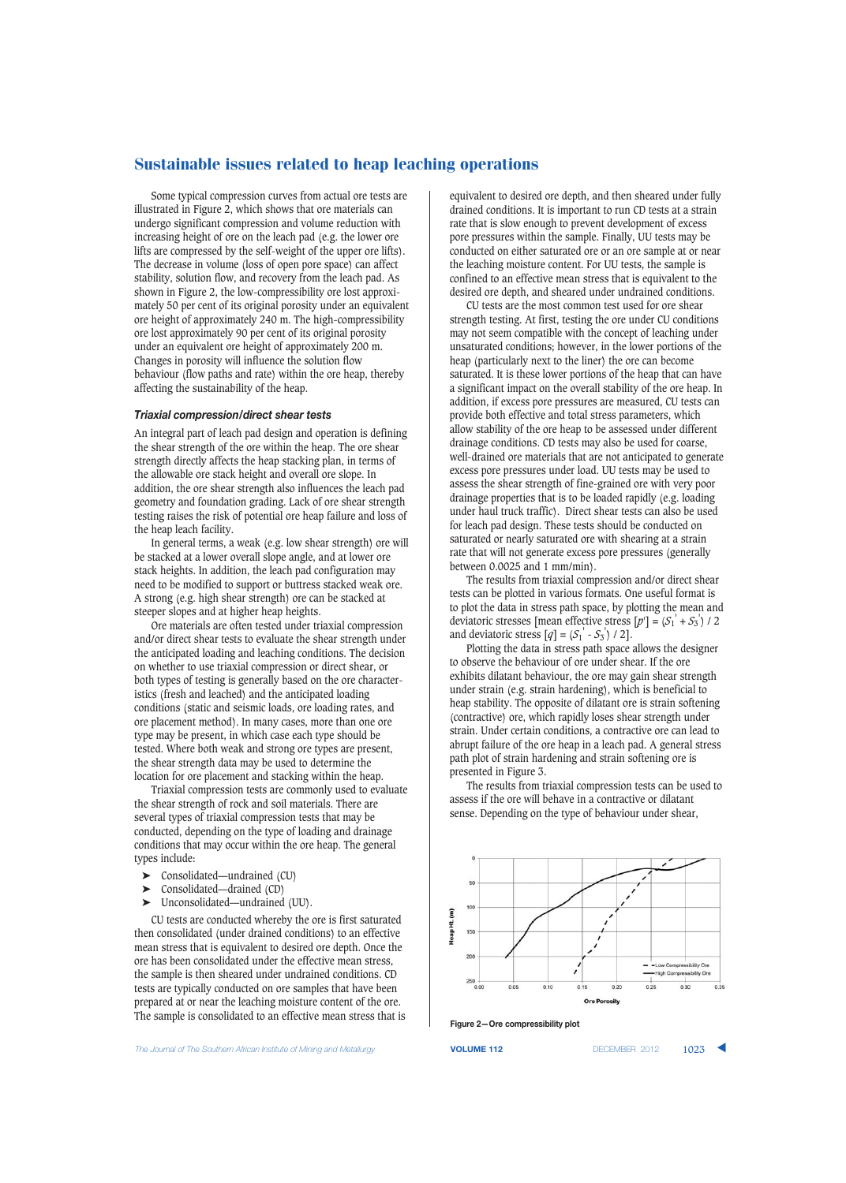Some typical compression curves from actual ore tests are illustrated in Figure 2, which shows that ore materials can undergo significant compression and volume reduction with increasing height of ore on the leach pad (e.g. the lower ore lifts are compressed by the self-weight of the upper ore lifts). The decrease in volume (loss of open pore space) can affect stability, solution flow, and recovery from the leach pad. As shown in Figure 2, the low-compressibility ore lost approximately 50 per cent of its original porosity under an equivalent ore height of approximately 240 m. The high-compressibility ore lost approximately 90 per cent of its original porosity under an equivalent ore height of approximately 200 m. Changes in porosity will influence the solution flow behaviour (flow paths and rate) within the ore heap, thereby affecting the sustainability of the heap.

## *Triaxial compression/direct shear tests*

An integral part of leach pad design and operation is defining the shear strength of the ore within the heap. The ore shear strength directly affects the heap stacking plan, in terms of the allowable ore stack height and overall ore slope. In addition, the ore shear strength also influences the leach pad geometry and foundation grading. Lack of ore shear strength testing raises the risk of potential ore heap failure and loss of the heap leach facility.

In general terms, a weak (e.g. low shear strength) ore will be stacked at a lower overall slope angle, and at lower ore stack heights. In addition, the leach pad configuration may need to be modified to support or buttress stacked weak ore. A strong (e.g. high shear strength) ore can be stacked at steeper slopes and at higher heap heights.

Ore materials are often tested under triaxial compression and/or direct shear tests to evaluate the shear strength under the anticipated loading and leaching conditions. The decision on whether to use triaxial compression or direct shear, or both types of testing is generally based on the ore characteristics (fresh and leached) and the anticipated loading conditions (static and seismic loads, ore loading rates, and ore placement method). In many cases, more than one ore type may be present, in which case each type should be tested. Where both weak and strong ore types are present, the shear strength data may be used to determine the location for ore placement and stacking within the heap.

Triaxial compression tests are commonly used to evaluate the shear strength of rock and soil materials. There are several types of triaxial compression tests that may be conducted, depending on the type of loading and drainage conditions that may occur within the ore heap. The general types include:

- ➤ Consolidated—undrained (CU)
- $\triangleright$  Consolidated—drained (CD)
- ➤ Unconsolidated—undrained (UU).

CU tests are conducted whereby the ore is first saturated then consolidated (under drained conditions) to an effective mean stress that is equivalent to desired ore depth. Once the ore has been consolidated under the effective mean stress, the sample is then sheared under undrained conditions. CD tests are typically conducted on ore samples that have been prepared at or near the leaching moisture content of the ore. The sample is consolidated to an effective mean stress that is equivalent to desired ore depth, and then sheared under fully drained conditions. It is important to run CD tests at a strain rate that is slow enough to prevent development of excess pore pressures within the sample. Finally, UU tests may be conducted on either saturated ore or an ore sample at or near the leaching moisture content. For UU tests, the sample is confined to an effective mean stress that is equivalent to the desired ore depth, and sheared under undrained conditions.

CU tests are the most common test used for ore shear strength testing. At first, testing the ore under CU conditions may not seem compatible with the concept of leaching under unsaturated conditions; however, in the lower portions of the heap (particularly next to the liner) the ore can become saturated. It is these lower portions of the heap that can have a significant impact on the overall stability of the ore heap. In addition, if excess pore pressures are measured, CU tests can provide both effective and total stress parameters, which allow stability of the ore heap to be assessed under different drainage conditions. CD tests may also be used for coarse, well-drained ore materials that are not anticipated to generate excess pore pressures under load. UU tests may be used to assess the shear strength of fine-grained ore with very poor drainage properties that is to be loaded rapidly (e.g. loading under haul truck traffic). Direct shear tests can also be used for leach pad design. These tests should be conducted on saturated or nearly saturated ore with shearing at a strain rate that will not generate excess pore pressures (generally between 0.0025 and 1 mm/min).

The results from triaxial compression and/or direct shear tests can be plotted in various formats. One useful format is to plot the data in stress path space, by plotting the mean and deviatoric stresses [mean effective stress  $[p'] = (S_1' + S_3') / 2$ and deviatoric stress  $[q] = (S_1' - S_3') / 2$ .

Plotting the data in stress path space allows the designer to observe the behaviour of ore under shear. If the ore exhibits dilatant behaviour, the ore may gain shear strength under strain (e.g. strain hardening), which is beneficial to heap stability. The opposite of dilatant ore is strain softening (contractive) ore, which rapidly loses shear strength under strain. Under certain conditions, a contractive ore can lead to abrupt failure of the ore heap in a leach pad. A general stress path plot of strain hardening and strain softening ore is presented in Figure 3.

The results from triaxial compression tests can be used to assess if the ore will behave in a contractive or dilatant sense. Depending on the type of behaviour under shear,



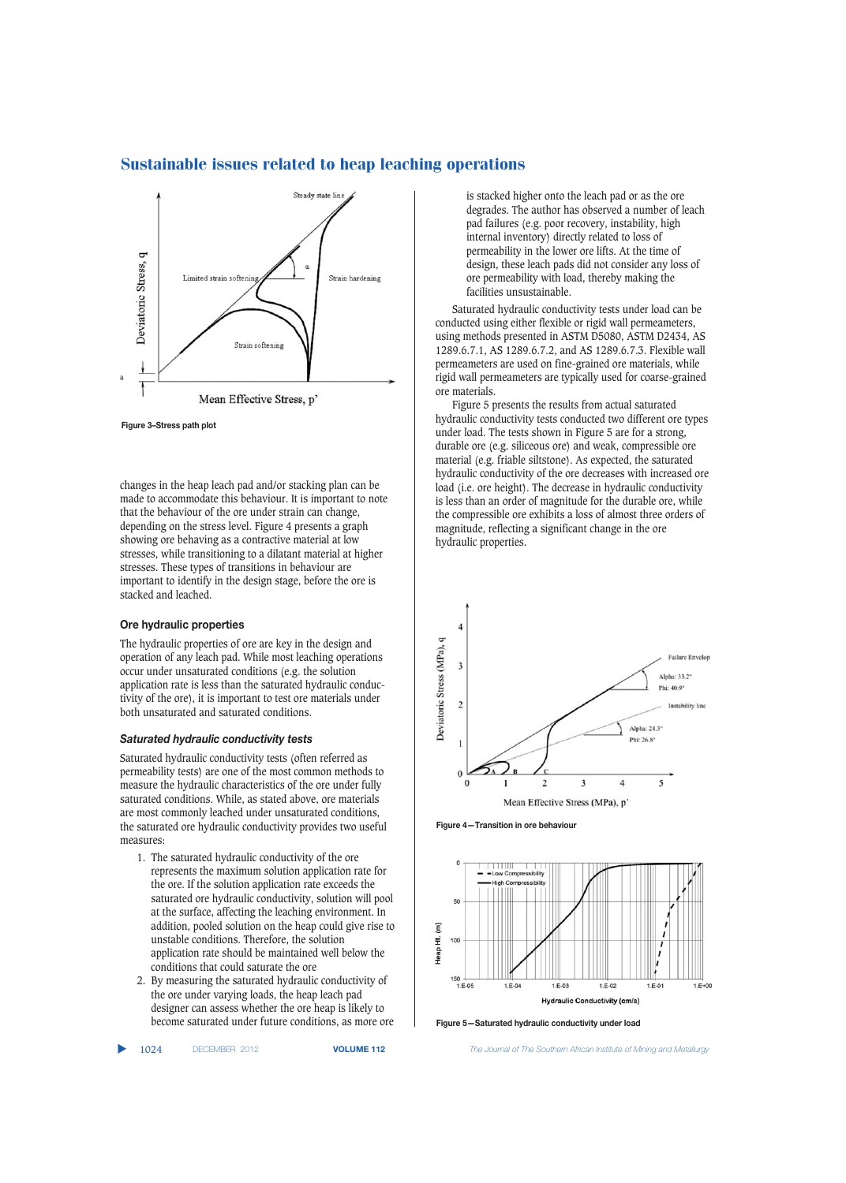

**Figure 3–Stress path plot**

changes in the heap leach pad and/or stacking plan can be made to accommodate this behaviour. It is important to note that the behaviour of the ore under strain can change, depending on the stress level. Figure 4 presents a graph showing ore behaving as a contractive material at low stresses, while transitioning to a dilatant material at higher stresses. These types of transitions in behaviour are important to identify in the design stage, before the ore is stacked and leached.

## **Ore hydraulic properties**

The hydraulic properties of ore are key in the design and operation of any leach pad. While most leaching operations occur under unsaturated conditions (e.g. the solution application rate is less than the saturated hydraulic conductivity of the ore), it is important to test ore materials under both unsaturated and saturated conditions.

# *Saturated hydraulic conductivity tests*

Saturated hydraulic conductivity tests (often referred as permeability tests) are one of the most common methods to measure the hydraulic characteristics of the ore under fully saturated conditions. While, as stated above, ore materials are most commonly leached under unsaturated conditions, the saturated ore hydraulic conductivity provides two useful measures:

- 1. The saturated hydraulic conductivity of the ore represents the maximum solution application rate for the ore. If the solution application rate exceeds the saturated ore hydraulic conductivity, solution will pool at the surface, affecting the leaching environment. In addition, pooled solution on the heap could give rise to unstable conditions. Therefore, the solution application rate should be maintained well below the conditions that could saturate the ore
- 2. By measuring the saturated hydraulic conductivity of the ore under varying loads, the heap leach pad designer can assess whether the ore heap is likely to become saturated under future conditions, as more ore

is stacked higher onto the leach pad or as the ore degrades. The author has observed a number of leach pad failures (e.g. poor recovery, instability, high internal inventory) directly related to loss of permeability in the lower ore lifts. At the time of design, these leach pads did not consider any loss of ore permeability with load, thereby making the facilities unsustainable.

Saturated hydraulic conductivity tests under load can be conducted using either flexible or rigid wall permeameters, using methods presented in ASTM D5080, ASTM D2434, AS 1289.6.7.1, AS 1289.6.7.2, and AS 1289.6.7.3. Flexible wall permeameters are used on fine-grained ore materials, while rigid wall permeameters are typically used for coarse-grained ore materials.

Figure 5 presents the results from actual saturated hydraulic conductivity tests conducted two different ore types under load. The tests shown in Figure 5 are for a strong, durable ore (e.g. siliceous ore) and weak, compressible ore material (e.g. friable siltstone). As expected, the saturated hydraulic conductivity of the ore decreases with increased ore load (i.e. ore height). The decrease in hydraulic conductivity is less than an order of magnitude for the durable ore, while the compressible ore exhibits a loss of almost three orders of magnitude, reflecting a significant change in the ore hydraulic properties.



**Figure 4—Transition in ore behaviour**



**Figure 5—Saturated hydraulic conductivity under load**

▲

1024 DECEMBER 2012 **VOLUME 112** *The Journal of The Southern African Institute of Mining and Metallurgy*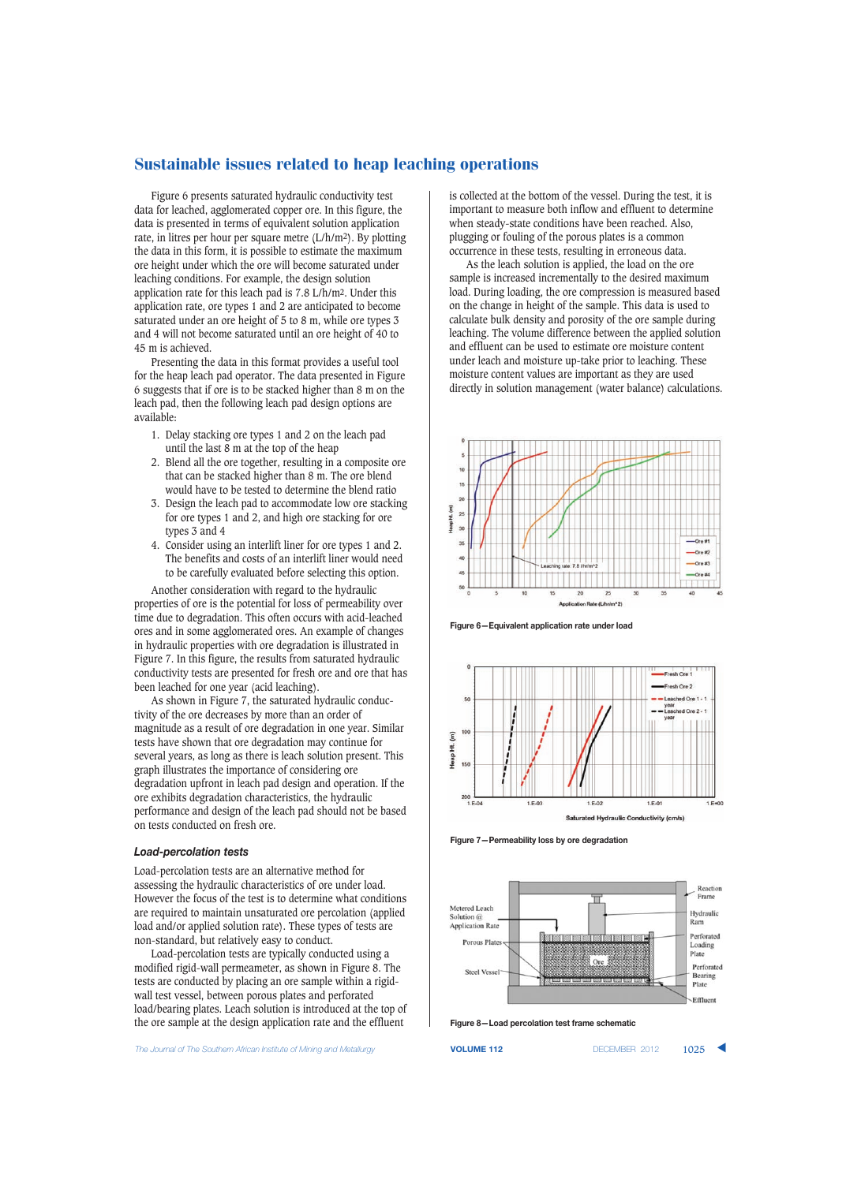Figure 6 presents saturated hydraulic conductivity test data for leached, agglomerated copper ore. In this figure, the data is presented in terms of equivalent solution application rate, in litres per hour per square metre (L/h/m2). By plotting the data in this form, it is possible to estimate the maximum ore height under which the ore will become saturated under leaching conditions. For example, the design solution application rate for this leach pad is 7.8 L/h/m2. Under this application rate, ore types 1 and 2 are anticipated to become saturated under an ore height of 5 to 8 m, while ore types 3 and 4 will not become saturated until an ore height of 40 to 45 m is achieved.

Presenting the data in this format provides a useful tool for the heap leach pad operator. The data presented in Figure 6 suggests that if ore is to be stacked higher than 8 m on the leach pad, then the following leach pad design options are available:

- 1. Delay stacking ore types 1 and 2 on the leach pad until the last 8 m at the top of the heap
- 2. Blend all the ore together, resulting in a composite ore that can be stacked higher than 8 m. The ore blend would have to be tested to determine the blend ratio
- 3. Design the leach pad to accommodate low ore stacking for ore types 1 and 2, and high ore stacking for ore types 3 and 4
- 4. Consider using an interlift liner for ore types 1 and 2. The benefits and costs of an interlift liner would need to be carefully evaluated before selecting this option.

Another consideration with regard to the hydraulic properties of ore is the potential for loss of permeability over time due to degradation. This often occurs with acid-leached ores and in some agglomerated ores. An example of changes in hydraulic properties with ore degradation is illustrated in Figure 7. In this figure, the results from saturated hydraulic conductivity tests are presented for fresh ore and ore that has been leached for one year (acid leaching).

As shown in Figure 7, the saturated hydraulic conductivity of the ore decreases by more than an order of magnitude as a result of ore degradation in one year. Similar tests have shown that ore degradation may continue for several years, as long as there is leach solution present. This graph illustrates the importance of considering ore degradation upfront in leach pad design and operation. If the ore exhibits degradation characteristics, the hydraulic performance and design of the leach pad should not be based on tests conducted on fresh ore.

## *Load-percolation tests*

Load-percolation tests are an alternative method for assessing the hydraulic characteristics of ore under load. However the focus of the test is to determine what conditions are required to maintain unsaturated ore percolation (applied load and/or applied solution rate). These types of tests are non-standard, but relatively easy to conduct.

Load-percolation tests are typically conducted using a modified rigid-wall permeameter, as shown in Figure 8. The tests are conducted by placing an ore sample within a rigidwall test vessel, between porous plates and perforated load/bearing plates. Leach solution is introduced at the top of the ore sample at the design application rate and the effluent

**The Journal of The Southern African Institute of Mining and Metallurgy <b>VOLUME 112 VOLUME 112 DECEMBER 2012 1025** 

is collected at the bottom of the vessel. During the test, it is important to measure both inflow and effluent to determine when steady-state conditions have been reached. Also, plugging or fouling of the porous plates is a common occurrence in these tests, resulting in erroneous data.

As the leach solution is applied, the load on the ore sample is increased incrementally to the desired maximum load. During loading, the ore compression is measured based on the change in height of the sample. This data is used to calculate bulk density and porosity of the ore sample during leaching. The volume difference between the applied solution and effluent can be used to estimate ore moisture content under leach and moisture up-take prior to leaching. These moisture content values are important as they are used directly in solution management (water balance) calculations.







**Figure 7—Permeability loss by ore degradation**



**Figure 8—Load percolation test frame schematic**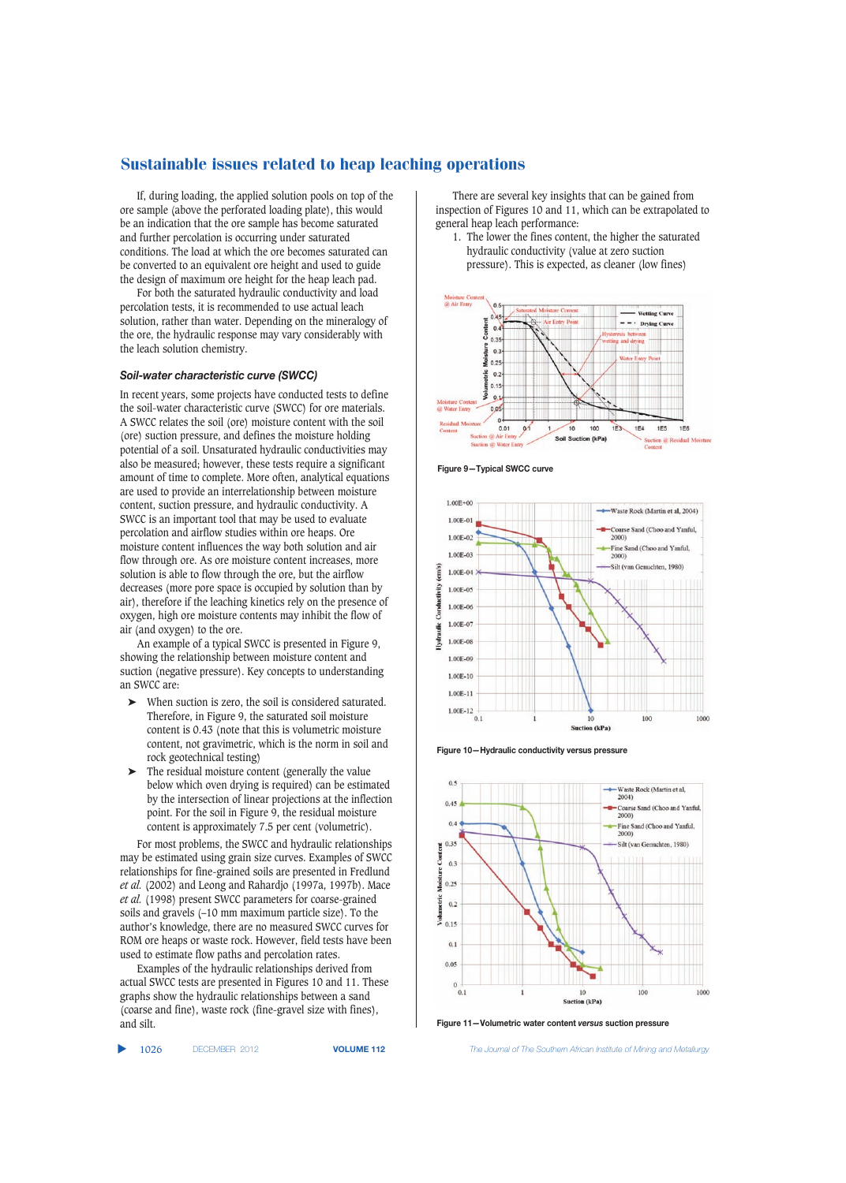If, during loading, the applied solution pools on top of the ore sample (above the perforated loading plate), this would be an indication that the ore sample has become saturated and further percolation is occurring under saturated conditions. The load at which the ore becomes saturated can be converted to an equivalent ore height and used to guide the design of maximum ore height for the heap leach pad.

For both the saturated hydraulic conductivity and load percolation tests, it is recommended to use actual leach solution, rather than water. Depending on the mineralogy of the ore, the hydraulic response may vary considerably with the leach solution chemistry.

## *Soil-water characteristic curve (SWCC)*

In recent years, some projects have conducted tests to define the soil-water characteristic curve (SWCC) for ore materials. A SWCC relates the soil (ore) moisture content with the soil (ore) suction pressure, and defines the moisture holding potential of a soil. Unsaturated hydraulic conductivities may also be measured; however, these tests require a significant amount of time to complete. More often, analytical equations are used to provide an interrelationship between moisture content, suction pressure, and hydraulic conductivity. A SWCC is an important tool that may be used to evaluate percolation and airflow studies within ore heaps. Ore moisture content influences the way both solution and air flow through ore. As ore moisture content increases, more solution is able to flow through the ore, but the airflow decreases (more pore space is occupied by solution than by air), therefore if the leaching kinetics rely on the presence of oxygen, high ore moisture contents may inhibit the flow of air (and oxygen) to the ore.

An example of a typical SWCC is presented in Figure 9, showing the relationship between moisture content and suction (negative pressure). Key concepts to understanding an SWCC are:

- ➤ When suction is zero, the soil is considered saturated. Therefore, in Figure 9, the saturated soil moisture content is 0.43 (note that this is volumetric moisture content, not gravimetric, which is the norm in soil and rock geotechnical testing)
- ➤ The residual moisture content (generally the value below which oven drying is required) can be estimated by the intersection of linear projections at the inflection point. For the soil in Figure 9, the residual moisture content is approximately 7.5 per cent (volumetric).

For most problems, the SWCC and hydraulic relationships may be estimated using grain size curves. Examples of SWCC relationships for fine-grained soils are presented in Fredlund *et al.* (2002) and Leong and Rahardjo (1997a, 1997b). Mace *et al.* (1998) present SWCC parameters for coarse-grained soils and gravels (–10 mm maximum particle size). To the author's knowledge, there are no measured SWCC curves for ROM ore heaps or waste rock. However, field tests have been used to estimate flow paths and percolation rates.

Examples of the hydraulic relationships derived from actual SWCC tests are presented in Figures 10 and 11. These graphs show the hydraulic relationships between a sand (coarse and fine), waste rock (fine-gravel size with fines), and silt.

There are several key insights that can be gained from inspection of Figures 10 and 11, which can be extrapolated to general heap leach performance:

1. The lower the fines content, the higher the saturated hydraulic conductivity (value at zero suction pressure). This is expected, as cleaner (low fines)







**Figure 10—Hydraulic conductivity versus pressure**



**Figure 11—Volumetric water content** *versus* **suction pressure**

1026 DECEMBER 2012 **VOLUME 112** *The Journal of The Southern African Institute of Mining and Metallurgy*

▲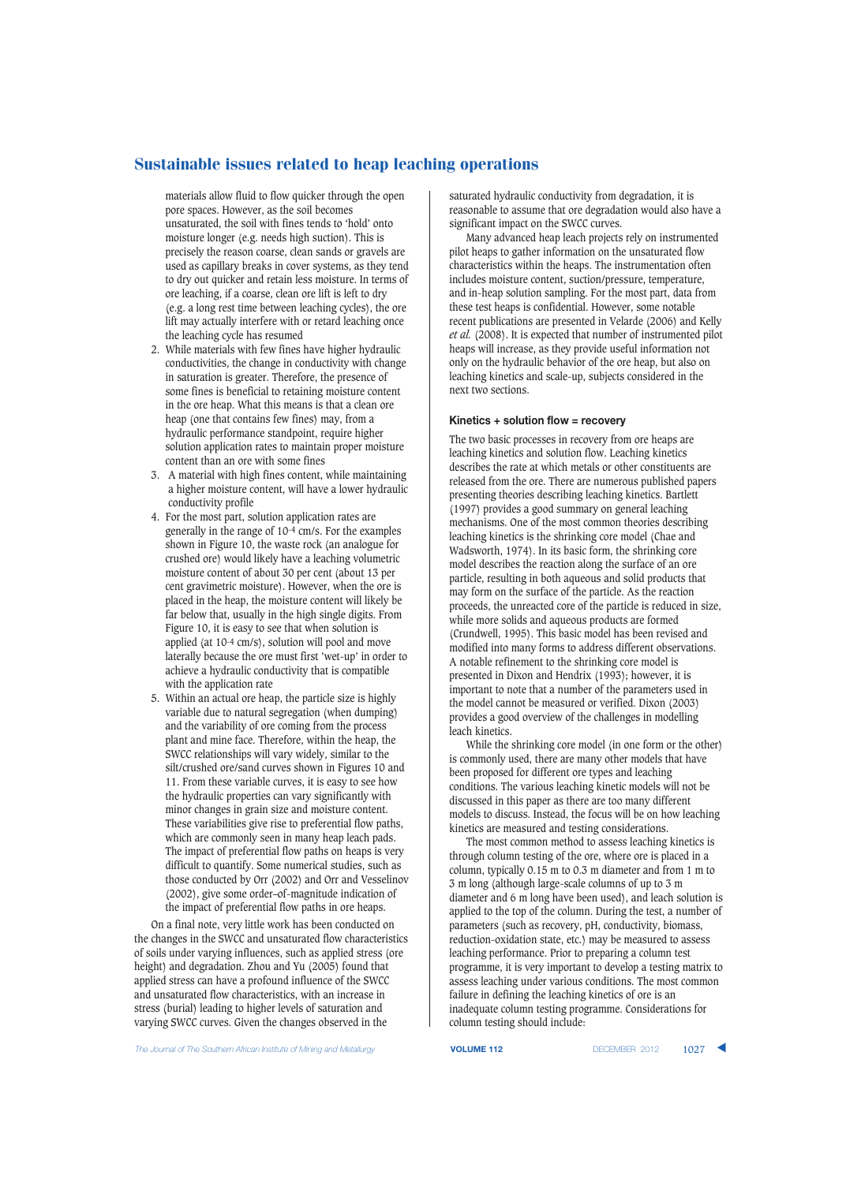materials allow fluid to flow quicker through the open pore spaces. However, as the soil becomes unsaturated, the soil with fines tends to 'hold' onto moisture longer (e.g. needs high suction). This is precisely the reason coarse, clean sands or gravels are used as capillary breaks in cover systems, as they tend to dry out quicker and retain less moisture. In terms of ore leaching, if a coarse, clean ore lift is left to dry (e.g. a long rest time between leaching cycles), the ore lift may actually interfere with or retard leaching once the leaching cycle has resumed

- 2. While materials with few fines have higher hydraulic conductivities, the change in conductivity with change in saturation is greater. Therefore, the presence of some fines is beneficial to retaining moisture content in the ore heap. What this means is that a clean ore heap (one that contains few fines) may, from a hydraulic performance standpoint, require higher solution application rates to maintain proper moisture content than an ore with some fines
- 3. A material with high fines content, while maintaining a higher moisture content, will have a lower hydraulic conductivity profile
- 4. For the most part, solution application rates are generally in the range of 10-4 cm/s. For the examples shown in Figure 10, the waste rock (an analogue for crushed ore) would likely have a leaching volumetric moisture content of about 30 per cent (about 13 per cent gravimetric moisture). However, when the ore is placed in the heap, the moisture content will likely be far below that, usually in the high single digits. From Figure 10, it is easy to see that when solution is applied (at 10-4 cm/s), solution will pool and move laterally because the ore must first 'wet-up' in order to achieve a hydraulic conductivity that is compatible with the application rate
- 5. Within an actual ore heap, the particle size is highly variable due to natural segregation (when dumping) and the variability of ore coming from the process plant and mine face. Therefore, within the heap, the SWCC relationships will vary widely, similar to the silt/crushed ore/sand curves shown in Figures 10 and 11. From these variable curves, it is easy to see how the hydraulic properties can vary significantly with minor changes in grain size and moisture content. These variabilities give rise to preferential flow paths, which are commonly seen in many heap leach pads. The impact of preferential flow paths on heaps is very difficult to quantify. Some numerical studies, such as those conducted by Orr (2002) and Orr and Vesselinov (2002), give some order–of-magnitude indication of the impact of preferential flow paths in ore heaps.

On a final note, very little work has been conducted on the changes in the SWCC and unsaturated flow characteristics of soils under varying influences, such as applied stress (ore height) and degradation. Zhou and Yu (2005) found that applied stress can have a profound influence of the SWCC and unsaturated flow characteristics, with an increase in stress (burial) leading to higher levels of saturation and varying SWCC curves. Given the changes observed in the

saturated hydraulic conductivity from degradation, it is reasonable to assume that ore degradation would also have a significant impact on the SWCC curves.

Many advanced heap leach projects rely on instrumented pilot heaps to gather information on the unsaturated flow characteristics within the heaps. The instrumentation often includes moisture content, suction/pressure, temperature, and in-heap solution sampling. For the most part, data from these test heaps is confidential. However, some notable recent publications are presented in Velarde (2006) and Kelly *et al.* (2008). It is expected that number of instrumented pilot heaps will increase, as they provide useful information not only on the hydraulic behavior of the ore heap, but also on leaching kinetics and scale-up, subjects considered in the next two sections.

### **Kinetics + solution flow = recovery**

The two basic processes in recovery from ore heaps are leaching kinetics and solution flow. Leaching kinetics describes the rate at which metals or other constituents are released from the ore. There are numerous published papers presenting theories describing leaching kinetics. Bartlett (1997) provides a good summary on general leaching mechanisms. One of the most common theories describing leaching kinetics is the shrinking core model (Chae and Wadsworth, 1974). In its basic form, the shrinking core model describes the reaction along the surface of an ore particle, resulting in both aqueous and solid products that may form on the surface of the particle. As the reaction proceeds, the unreacted core of the particle is reduced in size, while more solids and aqueous products are formed (Crundwell, 1995). This basic model has been revised and modified into many forms to address different observations. A notable refinement to the shrinking core model is presented in Dixon and Hendrix (1993); however, it is important to note that a number of the parameters used in the model cannot be measured or verified. Dixon (2003) provides a good overview of the challenges in modelling leach kinetics.

While the shrinking core model (in one form or the other) is commonly used, there are many other models that have been proposed for different ore types and leaching conditions. The various leaching kinetic models will not be discussed in this paper as there are too many different models to discuss. Instead, the focus will be on how leaching kinetics are measured and testing considerations.

The most common method to assess leaching kinetics is through column testing of the ore, where ore is placed in a column, typically 0.15 m to 0.3 m diameter and from 1 m to 3 m long (although large-scale columns of up to 3 m diameter and 6 m long have been used), and leach solution is applied to the top of the column. During the test, a number of parameters (such as recovery, pH, conductivity, biomass, reduction-oxidation state, etc.) may be measured to assess leaching performance. Prior to preparing a column test programme, it is very important to develop a testing matrix to assess leaching under various conditions. The most common failure in defining the leaching kinetics of ore is an inadequate column testing programme. Considerations for column testing should include: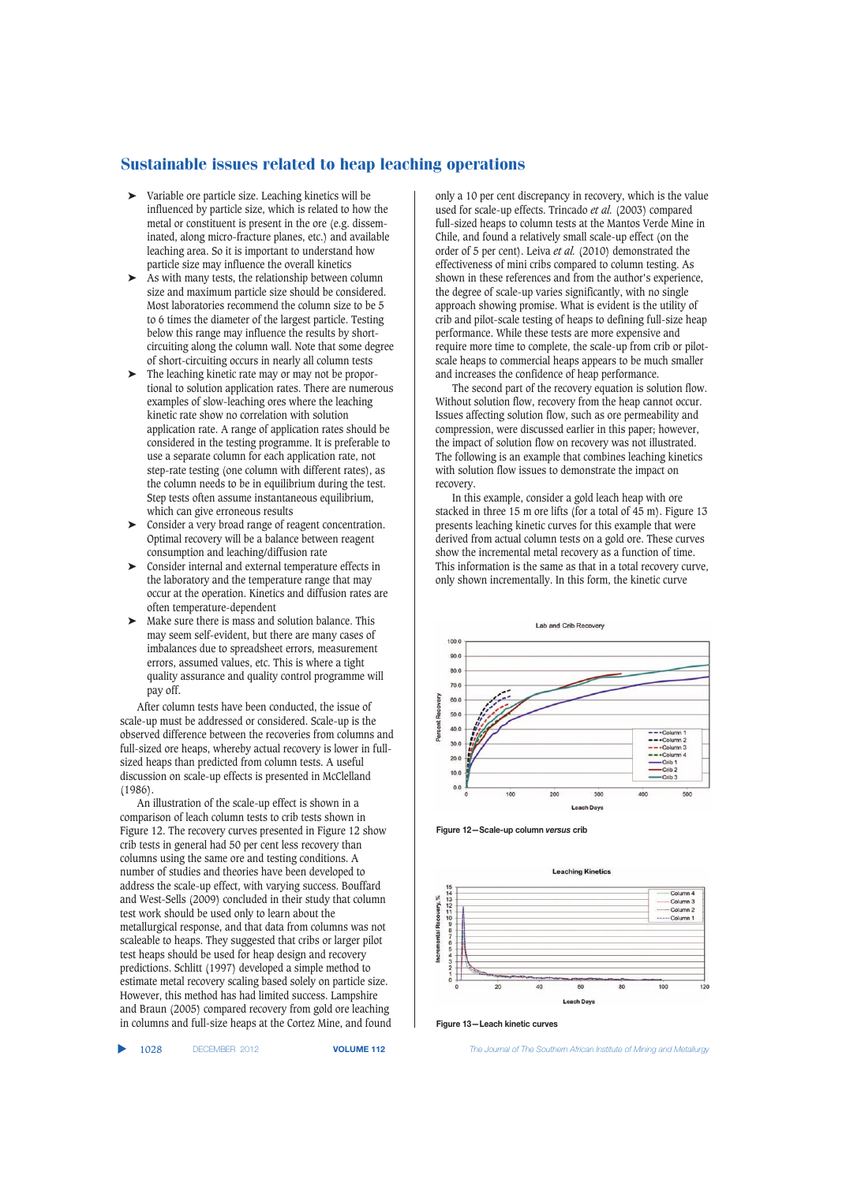- ➤ Variable ore particle size. Leaching kinetics will be influenced by particle size, which is related to how the metal or constituent is present in the ore (e.g. disseminated, along micro-fracture planes, etc.) and available leaching area. So it is important to understand how particle size may influence the overall kinetics
- ➤ As with many tests, the relationship between column size and maximum particle size should be considered. Most laboratories recommend the column size to be 5 to 6 times the diameter of the largest particle. Testing below this range may influence the results by shortcircuiting along the column wall. Note that some degree of short-circuiting occurs in nearly all column tests
- The leaching kinetic rate may or may not be proportional to solution application rates. There are numerous examples of slow-leaching ores where the leaching kinetic rate show no correlation with solution application rate. A range of application rates should be considered in the testing programme. It is preferable to use a separate column for each application rate, not step-rate testing (one column with different rates), as the column needs to be in equilibrium during the test. Step tests often assume instantaneous equilibrium, which can give erroneous results
- ➤ Consider a very broad range of reagent concentration. Optimal recovery will be a balance between reagent consumption and leaching/diffusion rate
- ➤ Consider internal and external temperature effects in the laboratory and the temperature range that may occur at the operation. Kinetics and diffusion rates are often temperature-dependent
- ➤ Make sure there is mass and solution balance. This may seem self-evident, but there are many cases of imbalances due to spreadsheet errors, measurement errors, assumed values, etc. This is where a tight quality assurance and quality control programme will pay off.

After column tests have been conducted, the issue of scale-up must be addressed or considered. Scale-up is the observed difference between the recoveries from columns and full-sized ore heaps, whereby actual recovery is lower in fullsized heaps than predicted from column tests. A useful discussion on scale-up effects is presented in McClelland (1986).

An illustration of the scale-up effect is shown in a comparison of leach column tests to crib tests shown in Figure 12. The recovery curves presented in Figure 12 show crib tests in general had 50 per cent less recovery than columns using the same ore and testing conditions. A number of studies and theories have been developed to address the scale-up effect, with varying success. Bouffard and West-Sells (2009) concluded in their study that column test work should be used only to learn about the metallurgical response, and that data from columns was not scaleable to heaps. They suggested that cribs or larger pilot test heaps should be used for heap design and recovery predictions. Schlitt (1997) developed a simple method to estimate metal recovery scaling based solely on particle size. However, this method has had limited success. Lampshire and Braun (2005) compared recovery from gold ore leaching in columns and full-size heaps at the Cortez Mine, and found only a 10 per cent discrepancy in recovery, which is the value used for scale-up effects. Trincado *et al.* (2003) compared full-sized heaps to column tests at the Mantos Verde Mine in Chile, and found a relatively small scale-up effect (on the order of 5 per cent). Leiva *et al.* (2010) demonstrated the effectiveness of mini cribs compared to column testing. As shown in these references and from the author's experience, the degree of scale-up varies significantly, with no single approach showing promise. What is evident is the utility of crib and pilot-scale testing of heaps to defining full-size heap performance. While these tests are more expensive and require more time to complete, the scale-up from crib or pilotscale heaps to commercial heaps appears to be much smaller and increases the confidence of heap performance.

The second part of the recovery equation is solution flow. Without solution flow, recovery from the heap cannot occur. Issues affecting solution flow, such as ore permeability and compression, were discussed earlier in this paper; however, the impact of solution flow on recovery was not illustrated. The following is an example that combines leaching kinetics with solution flow issues to demonstrate the impact on recovery.

In this example, consider a gold leach heap with ore stacked in three 15 m ore lifts (for a total of 45 m). Figure 13 presents leaching kinetic curves for this example that were derived from actual column tests on a gold ore. These curves show the incremental metal recovery as a function of time. This information is the same as that in a total recovery curve, only shown incrementally. In this form, the kinetic curve



**Figure 12—Scale-up column** *versus* **crib**





1028 DECEMBER 2012 **VOLUME 112** *The Journal of The Southern African Institute of Mining and Metallurgy*

▲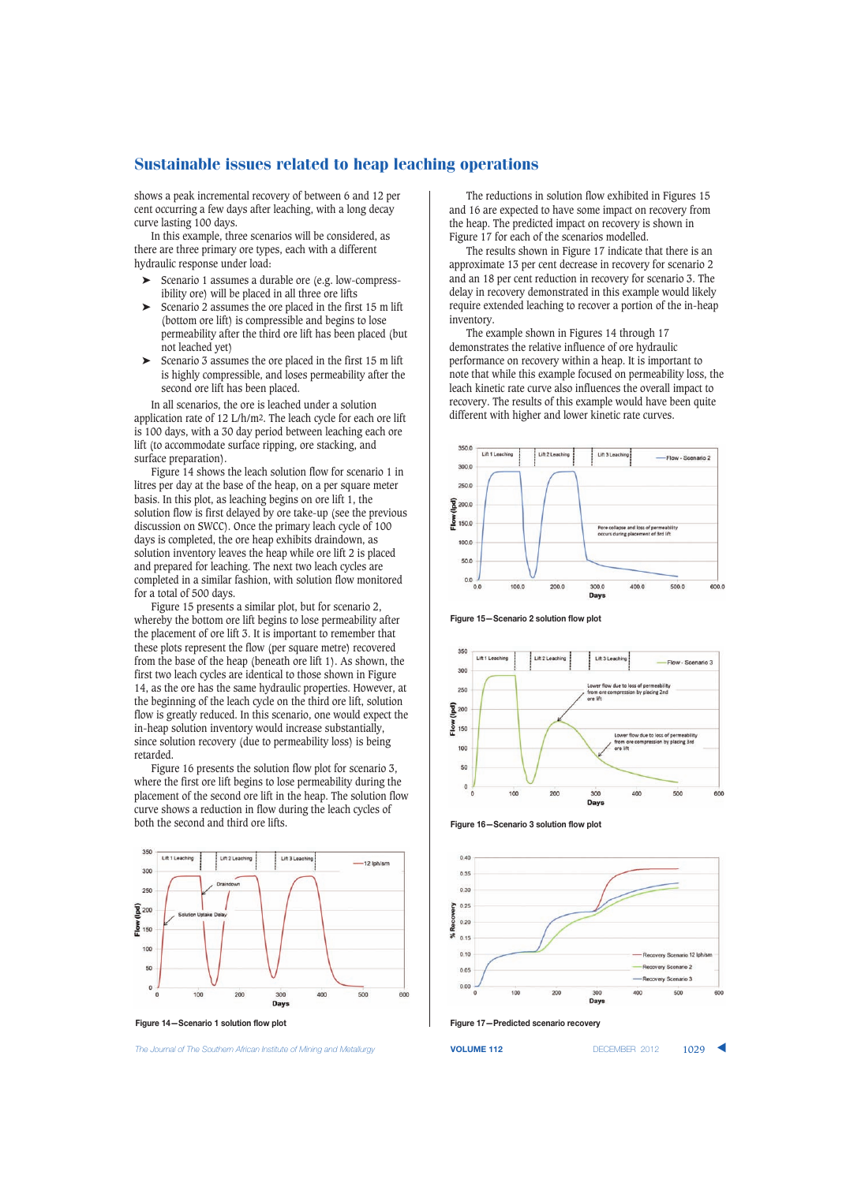shows a peak incremental recovery of between 6 and 12 per cent occurring a few days after leaching, with a long decay curve lasting 100 days.

In this example, three scenarios will be considered, as there are three primary ore types, each with a different hydraulic response under load:

- ➤ Scenario 1 assumes a durable ore (e.g. low-compressibility ore) will be placed in all three ore lifts
- ➤ Scenario 2 assumes the ore placed in the first 15 m lift (bottom ore lift) is compressible and begins to lose permeability after the third ore lift has been placed (but not leached yet)
- ➤ Scenario 3 assumes the ore placed in the first 15 m lift is highly compressible, and loses permeability after the second ore lift has been placed.

In all scenarios, the ore is leached under a solution application rate of 12 L/h/m2. The leach cycle for each ore lift is 100 days, with a 30 day period between leaching each ore lift (to accommodate surface ripping, ore stacking, and surface preparation).

Figure 14 shows the leach solution flow for scenario 1 in litres per day at the base of the heap, on a per square meter basis. In this plot, as leaching begins on ore lift 1, the solution flow is first delayed by ore take-up (see the previous discussion on SWCC). Once the primary leach cycle of 100 days is completed, the ore heap exhibits draindown, as solution inventory leaves the heap while ore lift 2 is placed and prepared for leaching. The next two leach cycles are completed in a similar fashion, with solution flow monitored for a total of 500 days.

Figure 15 presents a similar plot, but for scenario 2, whereby the bottom ore lift begins to lose permeability after the placement of ore lift 3. It is important to remember that these plots represent the flow (per square metre) recovered from the base of the heap (beneath ore lift 1). As shown, the first two leach cycles are identical to those shown in Figure 14, as the ore has the same hydraulic properties. However, at the beginning of the leach cycle on the third ore lift, solution flow is greatly reduced. In this scenario, one would expect the in-heap solution inventory would increase substantially, since solution recovery (due to permeability loss) is being retarded.

Figure 16 presents the solution flow plot for scenario 3, where the first ore lift begins to lose permeability during the placement of the second ore lift in the heap. The solution flow curve shows a reduction in flow during the leach cycles of both the second and third ore lifts.



**Figure 14—Scenario 1 solution flow plot**

**The Journal of The Southern African Institute of Mining and Metallurgy <b>VOLUME 112 VOLUME 112 DECEMBER 2012 1029** 

The reductions in solution flow exhibited in Figures 15 and 16 are expected to have some impact on recovery from the heap. The predicted impact on recovery is shown in Figure 17 for each of the scenarios modelled.

The results shown in Figure 17 indicate that there is an approximate 13 per cent decrease in recovery for scenario 2 and an 18 per cent reduction in recovery for scenario 3. The delay in recovery demonstrated in this example would likely require extended leaching to recover a portion of the in-heap inventory.

The example shown in Figures 14 through 17 demonstrates the relative influence of ore hydraulic performance on recovery within a heap. It is important to note that while this example focused on permeability loss, the leach kinetic rate curve also influences the overall impact to recovery. The results of this example would have been quite different with higher and lower kinetic rate curves.



**Figure 15—Scenario 2 solution flow plot**



**Figure 16—Scenario 3 solution flow plot**



**Figure 17—Predicted scenario recovery**